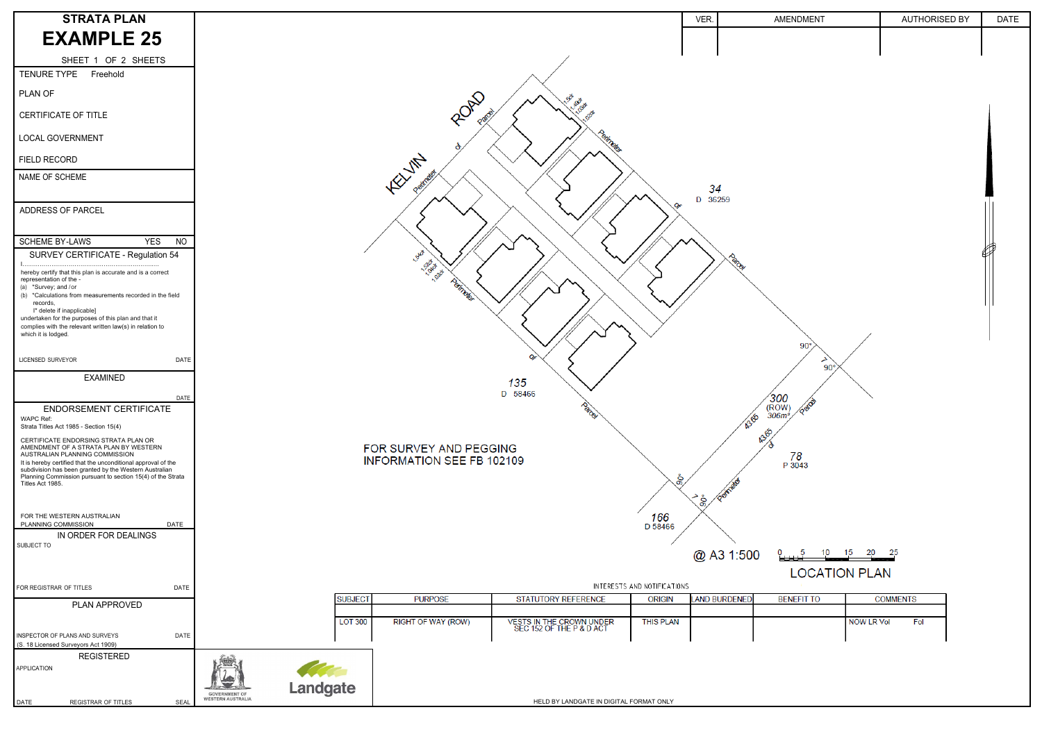| <b>STRATA PLAN</b>                                                                                                                                                                     |                                  |                |                                  |                                                      |                             | VER.                 | AMENDMENT                                                         | AUTHORISED BY            | <b>DATE</b> |
|----------------------------------------------------------------------------------------------------------------------------------------------------------------------------------------|----------------------------------|----------------|----------------------------------|------------------------------------------------------|-----------------------------|----------------------|-------------------------------------------------------------------|--------------------------|-------------|
| <b>EXAMPLE 25</b>                                                                                                                                                                      |                                  |                |                                  |                                                      |                             |                      |                                                                   |                          |             |
|                                                                                                                                                                                        |                                  |                |                                  |                                                      |                             |                      |                                                                   |                          |             |
| SHEET 1 OF 2 SHEETS<br><b>TENURE TYPE</b><br>Freehold                                                                                                                                  |                                  |                |                                  |                                                      |                             |                      |                                                                   |                          |             |
| PLAN OF                                                                                                                                                                                |                                  |                |                                  |                                                      |                             |                      |                                                                   |                          |             |
| CERTIFICATE OF TITLE                                                                                                                                                                   |                                  |                | ROAD<br>Pago                     |                                                      |                             |                      |                                                                   |                          |             |
| LOCAL GOVERNMENT                                                                                                                                                                       |                                  |                |                                  |                                                      |                             |                      |                                                                   |                          |             |
| FIELD RECORD                                                                                                                                                                           |                                  |                |                                  |                                                      |                             |                      |                                                                   |                          |             |
| NAME OF SCHEME                                                                                                                                                                         |                                  |                | <b>FOUTA</b>                     |                                                      |                             | 34<br>D 36259        |                                                                   |                          |             |
| ADDRESS OF PARCEL                                                                                                                                                                      |                                  |                |                                  |                                                      | $O_{\mathcal{F}}$           |                      |                                                                   |                          |             |
| <b>SCHEME BY-LAWS</b><br><b>YES</b><br><b>NO</b><br>SURVEY CERTIFICATE - Regulation 54                                                                                                 |                                  |                | S                                |                                                      |                             | <b>ancy</b>          |                                                                   |                          |             |
| hereby certify that this plan is accurate and is a correct<br>representation of the -<br>(a) *Survey; and /or<br>(b) *Calculations from measurements recorded in the field<br>records  |                                  |                | <b>SARA</b><br>1.000<br>Painelle |                                                      |                             |                      |                                                                   |                          |             |
| I* delete if inapplicable]<br>undertaken for the purposes of this plan and that it<br>complies with the relevant written law(s) in relation to<br>which it is lodged.                  |                                  |                |                                  |                                                      |                             |                      | $90^{\circ}$                                                      |                          |             |
| LICENSED SURVEYOR<br>DATE                                                                                                                                                              |                                  |                |                                  |                                                      |                             |                      | ৴<br>$90^\circ$                                                   |                          |             |
| <b>EXAMINED</b>                                                                                                                                                                        |                                  |                |                                  | 135                                                  |                             |                      |                                                                   |                          |             |
| DATE                                                                                                                                                                                   |                                  |                |                                  | D 58466                                              |                             |                      | $\frac{\sqrt{300}}{(\text{Row})}$<br>306m <sup>2</sup> /<br>10000 | $\overline{\phantom{0}}$ |             |
| ENDORSEMENT CERTIFICATE<br>WAPC Ref:<br>Strata Titles Act 1985 - Section 15(4)                                                                                                         |                                  |                |                                  | Parte                                                |                             |                      | 1388                                                              |                          |             |
| CERTIFICATE ENDORSING STRATA PLAN OR<br>AMENDMENT OF A STRATA PLAN BY WESTERN<br>AUSTRALIAN PLANNING COMMISSION                                                                        |                                  |                | FOR SURVEY AND PEGGING           |                                                      |                             |                      | <b>43.65</b><br>78                                                |                          |             |
| It is hereby certified that the unconditional approval of the<br>subdivision has been granted by the Western Australian<br>Planning Commission pursuant to section 15(4) of the Strata |                                  |                | INFORMATION SEE FB 102109        |                                                      |                             |                      | P 3043                                                            |                          |             |
| Titles Act 1985.                                                                                                                                                                       |                                  |                |                                  |                                                      |                             |                      |                                                                   |                          |             |
| FOR THE WESTERN AUSTRALIAN                                                                                                                                                             |                                  |                |                                  |                                                      | 166                         | க                    |                                                                   |                          |             |
| PLANNING COMMISSION<br><b>DATE</b><br>IN ORDER FOR DEALINGS                                                                                                                            |                                  |                |                                  |                                                      | D 58466                     |                      |                                                                   |                          |             |
| SUBJECT TO                                                                                                                                                                             |                                  |                |                                  |                                                      |                             | @ A3 1:500           | 0 5 10 15 20 25                                                   |                          |             |
|                                                                                                                                                                                        |                                  |                |                                  |                                                      |                             |                      | <b>LOCATION PLAN</b>                                              |                          |             |
| FOR REGISTRAR OF TITLES<br>DATE                                                                                                                                                        |                                  |                |                                  |                                                      | INTERESTS AND NOTIFICATIONS |                      |                                                                   |                          |             |
| PLAN APPROVED                                                                                                                                                                          |                                  | SUBJECT        | <b>PURPOSE</b>                   | STATUTORY REFERENCE                                  | <b>ORIGIN</b>               | <b>LAND BURDENED</b> | <b>BENEFIT TO</b>                                                 | <b>COMMENTS</b>          |             |
|                                                                                                                                                                                        |                                  | <b>LOT 300</b> | RIGHT OF WAY (ROW)               | VESTS IN THE CROWN UNDER<br>SEC 152 OF THE P & D ACT | <b>THIS PLAN</b>            |                      |                                                                   | <b>NOW LR Vol</b><br>Fol |             |
| INSPECTOR OF PLANS AND SURVEYS<br><b>DATE</b><br>(S. 18 Licensed Surveyors Act 1909)                                                                                                   |                                  |                |                                  |                                                      |                             |                      |                                                                   |                          |             |
| <b>REGISTERED</b><br><b>APPLICATION</b>                                                                                                                                                |                                  |                |                                  |                                                      |                             |                      |                                                                   |                          |             |
|                                                                                                                                                                                        | Landgate<br><b>GOVERNMENT OF</b> |                |                                  |                                                      |                             |                      |                                                                   |                          |             |
| DATE<br>REGISTRAR OF TITLES<br>SEAL                                                                                                                                                    | <b>WESTERN AUSTRALIA</b>         |                |                                  | HELD BY LANDGATE IN DIGITAL FORMAT ONLY              |                             |                      |                                                                   |                          |             |